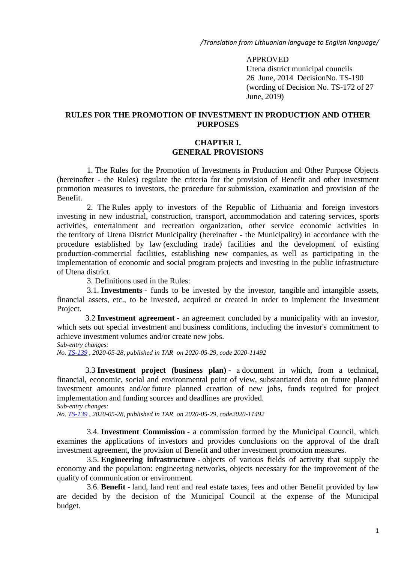*/Translation from Lithuanian language to English language/*

#### APPROVED

Utena district municipal councils 26 June, 2014 DecisionNo. TS-190 (wording of Decision No. TS-172 of 27 June, 2019)

### **RULES FOR THE PROMOTION OF INVESTMENT IN PRODUCTION AND OTHER PURPOSES**

### **CHAPTER I. GENERAL PROVISIONS**

1. The Rules for the Promotion of Investments in Production and Other Purpose Objects (hereinafter - the Rules) regulate the criteria for the provision of Benefit and other investment promotion measures to investors, the procedure for submission, examination and provision of the Benefit.

2. The Rules apply to investors of the Republic of Lithuania and foreign investors investing in new industrial, construction, transport, accommodation and catering services, sports activities, entertainment and recreation organization, other service economic activities in the territory of Utena District Municipality (hereinafter - the Municipality) in accordance with the procedure established by law (excluding trade) facilities and the development of existing production-commercial facilities, establishing new companies, as well as participating in the implementation of economic and social program projects and investing in the public infrastructure of Utena district.

3. Definitions used in the Rules:

3.1. **Investments** - funds to be invested by the investor, tangible and intangible assets, financial assets, etc., to be invested, acquired or created in order to implement the Investment Project.

3.2 **Investment agreement** - an agreement concluded by a municipality with an investor, which sets out special investment and business conditions, including the investor's commitment to achieve investment volumes and/or create new jobs.

*Sub-entry changes:*

*No. TS-139 , 2020-05-28, published in TAR on 2020-05-29, code 2020-11492*

3.3 **Investment project (business plan)** - a document in which, from a technical, financial, economic, social and environmental point of view, substantiated data on future planned investment amounts and/or future planned creation of new jobs, funds required for project implementation and funding sources and deadlines are provided.

*Sub-entry changes:*

*No. TS-139 , 2020-05-28, published in TAR on 2020-05-29, code2020-11492*

3.4. **Investment Commission** - a commission formed by the Municipal Council, which examines the applications of investors and provides conclusions on the approval of the draft investment agreement, the provision of Benefit and other investment promotion measures.

3.5. **Engineering infrastructure** - objects of various fields of activity that supply the economy and the population: engineering networks, objects necessary for the improvement of the quality of communication or environment.

3.6. **Benefit** - land, land rent and real estate taxes, fees and other Benefit provided by law are decided by the decision of the Municipal Council at the expense of the Municipal budget.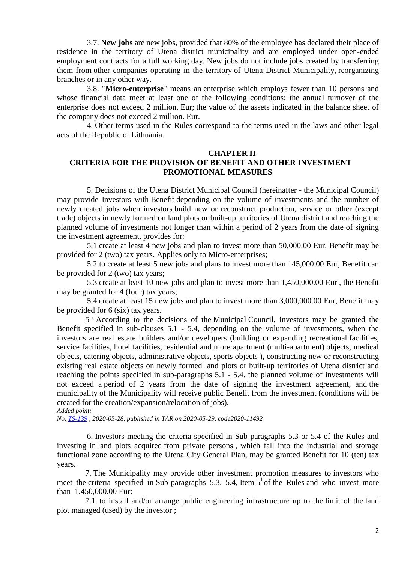3.7. **New jobs** are new jobs, provided that 80% of the employee has declared their place of residence in the territory of Utena district municipality and are employed under open-ended employment contracts for a full working day. New jobs do not include jobs created by transferring them from other companies operating in the territory of Utena District Municipality, reorganizing branches or in any other way.

3.8. **"Micro-enterprise"** means an enterprise which employs fewer than 10 persons and whose financial data meet at least one of the following conditions: the annual turnover of the enterprise does not exceed 2 million. Eur; the value of the assets indicated in the balance sheet of the company does not exceed 2 million. Eur.

4. Other terms used in the Rules correspond to the terms used in the laws and other legal acts of the Republic of Lithuania.

#### **CHAPTER II**

# **CRITERIA FOR THE PROVISION OF BENEFIT AND OTHER INVESTMENT PROMOTIONAL MEASURES**

5. Decisions of the Utena District Municipal Council (hereinafter - the Municipal Council) may provide Investors with Benefit depending on the volume of investments and the number of newly created jobs when investors build new or reconstruct production, service or other (except trade) objects in newly formed on land plots or built-up territories of Utena district and reaching the planned volume of investments not longer than within a period of 2 years from the date of signing the investment agreement, provides for:

5.1 create at least 4 new jobs and plan to invest more than 50,000.00 Eur, Benefit may be provided for 2 (two) tax years. Applies only to Micro-enterprises;

5.2 to create at least 5 new jobs and plans to invest more than 145,000.00 Eur, Benefit can be provided for 2 (two) tax years;

5.3 create at least 10 new jobs and plan to invest more than 1,450,000.00 Eur , the Benefit may be granted for 4 (four) tax years;

5.4 create at least 15 new jobs and plan to invest more than 3,000,000.00 Eur, Benefit may be provided for 6 (six) tax years.

5 1. According to the decisions of the Municipal Council, investors may be granted the Benefit specified in sub-clauses 5.1 - 5.4, depending on the volume of investments, when the investors are real estate builders and/or developers (building or expanding recreational facilities, service facilities, hotel facilities, residential and more apartment (multi-apartment) objects, medical objects, catering objects, administrative objects, sports objects ), constructing new or reconstructing existing real estate objects on newly formed land plots or built-up territories of Utena district and reaching the points specified in sub-paragraphs 5.1 - 5.4. the planned volume of investments will not exceed a period of 2 years from the date of signing the investment agreement, and the municipality of the Municipality will receive public Benefit from the investment (conditions will be created for the creation/expansion/relocation of jobs). *Added point:*

*No. TS-139 , 2020-05-28, published in TAR on 2020-05-29, code2020-11492*

6. Investors meeting the criteria specified in Sub-paragraphs 5.3 or 5.4 of the Rules and investing in land plots acquired from private persons , which fall into the industrial and storage functional zone according to the Utena City General Plan, may be granted Benefit for 10 (ten) tax years.

7. The Municipality may provide other investment promotion measures to investors who meet the criteria specified in Sub-paragraphs 5.3, 5.4, Item  $5<sup>1</sup>$  of the Rules and who invest more than 1,450,000.00 Eur:

7.1. to install and/or arrange public engineering infrastructure up to the limit of the land plot managed (used) by the investor ;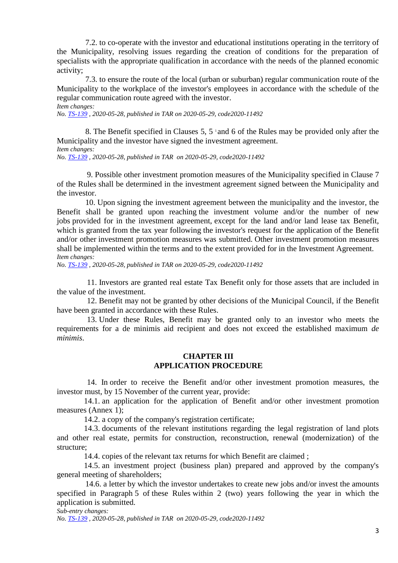7.2. to co-operate with the investor and educational institutions operating in the territory of the Municipality, resolving issues regarding the creation of conditions for the preparation of specialists with the appropriate qualification in accordance with the needs of the planned economic activity;

7.3. to ensure the route of the local (urban or suburban) regular communication route of the Municipality to the workplace of the investor's employees in accordance with the schedule of the regular communication route agreed with the investor.

*Item changes:*

*No. TS-139 , 2020-05-28, published in TAR on 2020-05-29, code2020-11492*

8. The Benefit specified in Clauses 5,  $5 \text{ and } 6$  of the Rules may be provided only after the Municipality and the investor have signed the investment agreement. *Item changes:*

*No. TS-139 , 2020-05-28, published in TAR on 2020-05-29, code2020-11492*

9. Possible other investment promotion measures of the Municipality specified in Clause 7 of the Rules shall be determined in the investment agreement signed between the Municipality and the investor.

10. Upon signing the investment agreement between the municipality and the investor, the Benefit shall be granted upon reaching the investment volume and/or the number of new jobs provided for in the investment agreement, except for the land and/or land lease tax Benefit, which is granted from the tax year following the investor's request for the application of the Benefit and/or other investment promotion measures was submitted. Other investment promotion measures shall be implemented within the terms and to the extent provided for in the Investment Agreement. *Item changes:*

*No. TS-139 , 2020-05-28, published in TAR on 2020-05-29, code2020-11492*

11. Investors are granted real estate Tax Benefit only for those assets that are included in the value of the investment.

12. Benefit may not be granted by other decisions of the Municipal Council, if the Benefit have been granted in accordance with these Rules.

13. Under these Rules, Benefit may be granted only to an investor who meets the requirements for a de minimis aid recipient and does not exceed the established maximum *de minimis*.

### **CHAPTER III APPLICATION PROCEDURE**

14. In order to receive the Benefit and/or other investment promotion measures, the investor must, by 15 November of the current year, provide:

14.1. an application for the application of Benefit and/or other investment promotion measures (Annex 1);

14.2. a copy of the company's registration certificate;

14.3. documents of the relevant institutions regarding the legal registration of land plots and other real estate, permits for construction, reconstruction, renewal (modernization) of the structure;

14.4. copies of the relevant tax returns for which Benefit are claimed ;

14.5. an investment project (business plan) prepared and approved by the company's general meeting of shareholders;

14.6. a letter by which the investor undertakes to create new jobs and/or invest the amounts specified in Paragraph 5 of these Rules within 2 (two) years following the year in which the application is submitted.

*Sub-entry changes:*

*No. TS-139 , 2020-05-28, published in TAR on 2020-05-29, code2020-11492*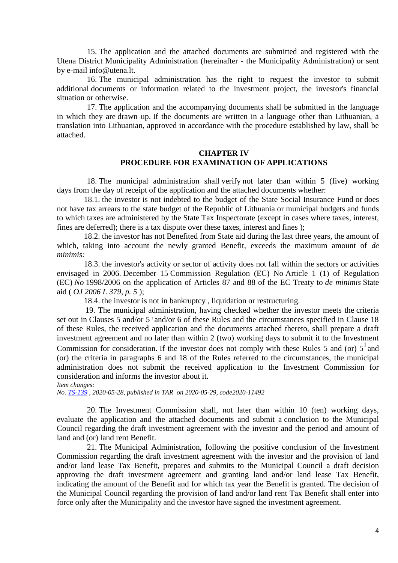15. The application and the attached documents are submitted and registered with the Utena District Municipality Administration (hereinafter - the Municipality Administration) or sent by e-mail info@utena.lt.

16. The municipal administration has the right to request the investor to submit additional documents or information related to the investment project, the investor's financial situation or otherwise.

17. The application and the accompanying documents shall be submitted in the language in which they are drawn up. If the documents are written in a language other than Lithuanian, a translation into Lithuanian, approved in accordance with the procedure established by law, shall be attached.

# **CHAPTER IV PROCEDURE FOR EXAMINATION OF APPLICATIONS**

18. The municipal administration shall verify not later than within 5 (five) working days from the day of receipt of the application and the attached documents whether:

18.1. the investor is not indebted to the budget of the State Social Insurance Fund or does not have tax arrears to the state budget of the Republic of Lithuania or municipal budgets and funds to which taxes are administered by the State Tax Inspectorate (except in cases where taxes, interest, fines are deferred); there is a tax dispute over these taxes, interest and fines );

18.2. the investor has not Benefited from State aid during the last three years, the amount of which, taking into account the newly granted Benefit, exceeds the maximum amount of *de minimis:*

18.3. the investor's activity or sector of activity does not fall within the sectors or activities envisaged in 2006. December 15 Commission Regulation (EC) No Article 1 (1) of Regulation (EC) *No* 1998/2006 on the application of Articles 87 and 88 of the EC Treaty to *de minimis* State aid ( *OJ 2006 L 379, p. 5* );

18.4. the investor is not in bankruptcy , liquidation or restructuring.

19. The municipal administration, having checked whether the investor meets the criteria set out in Clauses 5 and/or 5  $\cdot$  and/or 6 of these Rules and the circumstances specified in Clause 18 of these Rules, the received application and the documents attached thereto, shall prepare a draft investment agreement and no later than within 2 (two) working days to submit it to the Investment Commission for consideration. If the investor does not comply with these Rules 5 and (or)  $5<sup>1</sup>$  and (or) the criteria in paragraphs 6 and 18 of the Rules referred to the circumstances, the municipal administration does not submit the received application to the Investment Commission for consideration and informs the investor about it. *Item changes:*

*No. TS-139 , 2020-05-28, published in TAR on 2020-05-29, code2020-11492*

20. The Investment Commission shall, not later than within 10 (ten) working days, evaluate the application and the attached documents and submit a conclusion to the Municipal Council regarding the draft investment agreement with the investor and the period and amount of land and (or) land rent Benefit.

21. The Municipal Administration, following the positive conclusion of the Investment Commission regarding the draft investment agreement with the investor and the provision of land and/or land lease Tax Benefit, prepares and submits to the Municipal Council a draft decision approving the draft investment agreement and granting land and/or land lease Tax Benefit, indicating the amount of the Benefit and for which tax year the Benefit is granted. The decision of the Municipal Council regarding the provision of land and/or land rent Tax Benefit shall enter into force only after the Municipality and the investor have signed the investment agreement.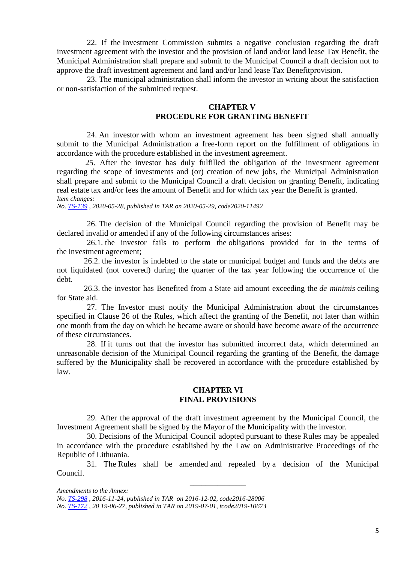22. If the Investment Commission submits a negative conclusion regarding the draft investment agreement with the investor and the provision of land and/or land lease Tax Benefit, the Municipal Administration shall prepare and submit to the Municipal Council a draft decision not to approve the draft investment agreement and land and/or land lease Tax Benefitprovision.

23. The municipal administration shall inform the investor in writing about the satisfaction or non-satisfaction of the submitted request.

### **CHAPTER V PROCEDURE FOR GRANTING BENEFIT**

24. An investor with whom an investment agreement has been signed shall annually submit to the Municipal Administration a free-form report on the fulfillment of obligations in accordance with the procedure established in the investment agreement.

25. After the investor has duly fulfilled the obligation of the investment agreement regarding the scope of investments and (or) creation of new jobs, the Municipal Administration shall prepare and submit to the Municipal Council a draft decision on granting Benefit, indicating real estate tax and/or fees the amount of Benefit and for which tax year the Benefit is granted. *Item changes:*

*No. [TS-139](https://translate.google.com/translate?hl=en&prev=_t&sl=lt&tl=en&u=https://www.e-tar.lt/portal/legalAct.html%3FdocumentId%3D5d1f18b0a0e711ea9515f752ff221ec9) , 2020-05-28, published in TAR on 2020-05-29, code2020-11492*

26. The decision of the Municipal Council regarding the provision of Benefit may be declared invalid or amended if any of the following circumstances arises:

26.1. the investor fails to perform the obligations provided for in the terms of the investment agreement;

26.2. the investor is indebted to the state or municipal budget and funds and the debts are not liquidated (not covered) during the quarter of the tax year following the occurrence of the debt.

26.3. the investor has Benefited from a State aid amount exceeding the *de minimis* ceiling for State aid.

27. The Investor must notify the Municipal Administration about the circumstances specified in Clause 26 of the Rules, which affect the granting of the Benefit, not later than within one month from the day on which he became aware or should have become aware of the occurrence of these circumstances.

28. If it turns out that the investor has submitted incorrect data, which determined an unreasonable decision of the Municipal Council regarding the granting of the Benefit, the damage suffered by the Municipality shall be recovered in accordance with the procedure established by law.

#### **CHAPTER VI FINAL PROVISIONS**

29. After the approval of the draft investment agreement by the Municipal Council, the Investment Agreement shall be signed by the Mayor of the Municipality with the investor.

30. Decisions of the Municipal Council adopted pursuant to these Rules may be appealed in accordance with the procedure established by the Law on Administrative Proceedings of the Republic of Lithuania.

31. The Rules shall be amended and repealed by a decision of the Municipal Council.

\_\_\_\_\_\_\_\_\_\_\_\_\_\_

*Amendments to the Annex:*

*No. TS-298 , 2016-11-24, published in TAR on 2016-12-02, code2016-28006*

*No. TS-172 , 20 19-06-27, published in TAR on 2019-07-01, tcode2019-10673*